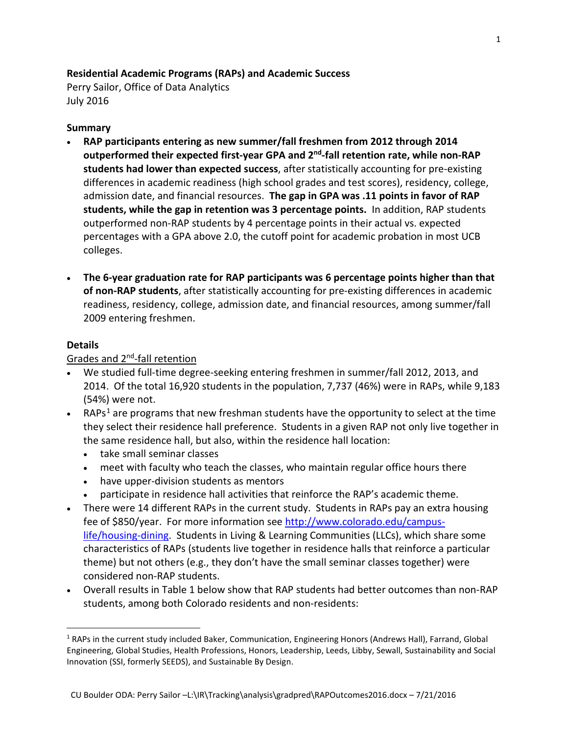## **Residential Academic Programs (RAPs) and Academic Success**

Perry Sailor, Office of Data Analytics July 2016

## **Summary**

- **RAP participants entering as new summer/fall freshmen from 2012 through 2014 outperformed their expected first-year GPA and 2nd-fall retention rate, while non-RAP students had lower than expected success**, after statistically accounting for pre-existing differences in academic readiness (high school grades and test scores), residency, college, admission date, and financial resources. **The gap in GPA was .11 points in favor of RAP students, while the gap in retention was 3 percentage points.** In addition, RAP students outperformed non-RAP students by 4 percentage points in their actual vs. expected percentages with a GPA above 2.0, the cutoff point for academic probation in most UCB colleges.
- **The 6-year graduation rate for RAP participants was 6 percentage points higher than that of non-RAP students**, after statistically accounting for pre-existing differences in academic readiness, residency, college, admission date, and financial resources, among summer/fall 2009 entering freshmen.

## **Details**

## Grades and 2nd-fall retention

- We studied full-time degree-seeking entering freshmen in summer/fall 2012, 2013, and 2014. Of the total 16,920 students in the population, 7,737 (46%) were in RAPs, while 9,183 (54%) were not.
- RAPs<sup>[1](#page-0-0)</sup> are programs that new freshman students have the opportunity to select at the time they select their residence hall preference. Students in a given RAP not only live together in the same residence hall, but also, within the residence hall location:
	- take small seminar classes
	- meet with faculty who teach the classes, who maintain regular office hours there
	- have upper-division students as mentors
	- participate in residence hall activities that reinforce the RAP's academic theme.
- There were 14 different RAPs in the current study. Students in RAPs pay an extra housing fee of \$850/year. For more information see [http://www.colorado.edu/campus](http://www.colorado.edu/campus-life/housing-dining)[life/housing-dining.](http://www.colorado.edu/campus-life/housing-dining) Students in Living & Learning Communities (LLCs), which share some characteristics of RAPs (students live together in residence halls that reinforce a particular theme) but not others (e.g., they don't have the small seminar classes together) were considered non-RAP students.
- Overall results in Table 1 below show that RAP students had better outcomes than non-RAP students, among both Colorado residents and non-residents:

<span id="page-0-0"></span> <sup>1</sup> RAPs in the current study included Baker, Communication, Engineering Honors (Andrews Hall), Farrand, Global Engineering, Global Studies, Health Professions, Honors, Leadership, Leeds, Libby, Sewall, Sustainability and Social Innovation (SSI, formerly SEEDS), and Sustainable By Design.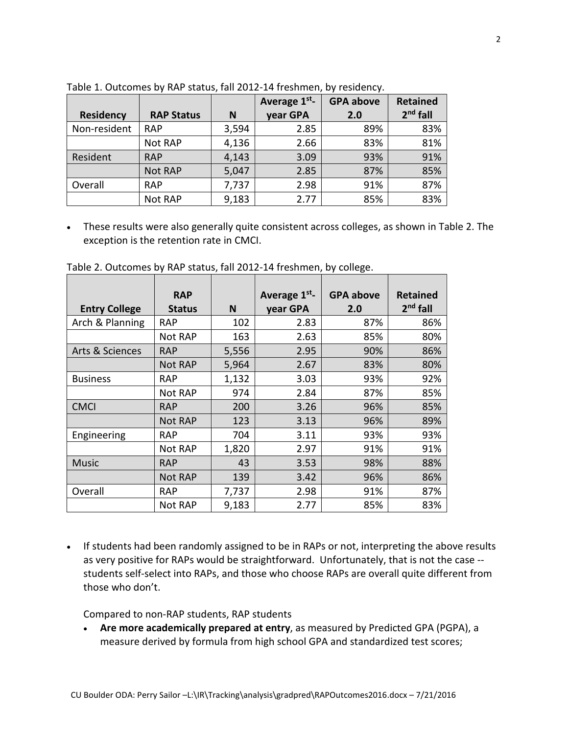|                  |                   |       | Average 1 <sup>st</sup> - | <b>GPA above</b> | <b>Retained</b> |  |
|------------------|-------------------|-------|---------------------------|------------------|-----------------|--|
| <b>Residency</b> | <b>RAP Status</b> | N     | year GPA                  | 2.0              | $2nd$ fall      |  |
| Non-resident     | <b>RAP</b>        | 3,594 | 2.85                      | 89%              | 83%             |  |
|                  | Not RAP           | 4,136 | 2.66                      | 83%              | 81%             |  |
| Resident         | <b>RAP</b>        | 4,143 | 3.09                      | 93%              | 91%             |  |
|                  | <b>Not RAP</b>    | 5,047 | 2.85                      | 87%              | 85%             |  |
| Overall          | <b>RAP</b>        | 7,737 | 2.98                      | 91%              | 87%             |  |
|                  | Not RAP           | 9,183 | 2.77                      | 85%              | 83%             |  |

Table 1. Outcomes by RAP status, fall 2012-14 freshmen, by residency.

• These results were also generally quite consistent across colleges, as shown in Table 2. The exception is the retention rate in CMCI.

|                      | <b>RAP</b>     |       | Average 1st <sub>-</sub> | <b>GPA above</b> | <b>Retained</b> |
|----------------------|----------------|-------|--------------------------|------------------|-----------------|
| <b>Entry College</b> | <b>Status</b>  | N     | year GPA                 | 2.0              | $2nd$ fall      |
| Arch & Planning      | <b>RAP</b>     | 102   | 2.83                     | 87%              | 86%             |
|                      | Not RAP        | 163   | 2.63                     | 85%              | 80%             |
| Arts & Sciences      | <b>RAP</b>     | 5,556 | 2.95                     | 90%              | 86%             |
|                      | <b>Not RAP</b> | 5,964 | 2.67                     | 83%              | 80%             |
| <b>Business</b>      | <b>RAP</b>     | 1,132 | 3.03                     | 93%              | 92%             |
|                      | Not RAP        | 974   | 2.84                     | 87%              | 85%             |
| <b>CMCI</b>          | <b>RAP</b>     | 200   | 3.26                     | 96%              | 85%             |
|                      | <b>Not RAP</b> | 123   | 3.13                     | 96%              | 89%             |
| Engineering          | <b>RAP</b>     | 704   | 3.11                     | 93%              | 93%             |
|                      | Not RAP        | 1,820 | 2.97                     | 91%              | 91%             |
| <b>Music</b>         | <b>RAP</b>     | 43    | 3.53                     | 98%              | 88%             |
|                      | <b>Not RAP</b> | 139   | 3.42                     | 96%              | 86%             |
| Overall              | <b>RAP</b>     | 7,737 | 2.98                     | 91%              | 87%             |
|                      | Not RAP        | 9,183 | 2.77                     | 85%              | 83%             |

Table 2. Outcomes by RAP status, fall 2012-14 freshmen, by college.

• If students had been randomly assigned to be in RAPs or not, interpreting the above results as very positive for RAPs would be straightforward. Unfortunately, that is not the case - students self-select into RAPs, and those who choose RAPs are overall quite different from those who don't.

Compared to non-RAP students, RAP students

• **Are more academically prepared at entry**, as measured by Predicted GPA (PGPA), a measure derived by formula from high school GPA and standardized test scores;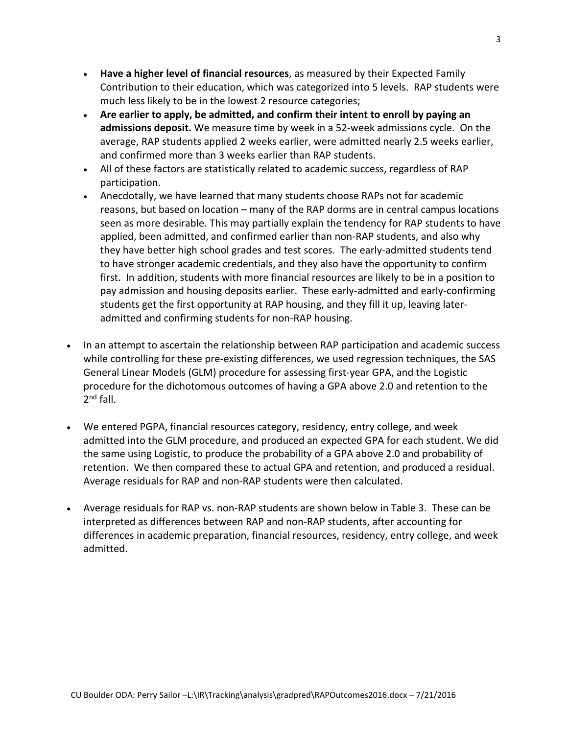- **Have a higher level of financial resources**, as measured by their Expected Family Contribution to their education, which was categorized into 5 levels. RAP students were much less likely to be in the lowest 2 resource categories;
- **Are earlier to apply, be admitted, and confirm their intent to enroll by paying an admissions deposit.** We measure time by week in a 52-week admissions cycle. On the average, RAP students applied 2 weeks earlier, were admitted nearly 2.5 weeks earlier, and confirmed more than 3 weeks earlier than RAP students.
- All of these factors are statistically related to academic success, regardless of RAP participation.
- Anecdotally, we have learned that many students choose RAPs not for academic reasons, but based on location – many of the RAP dorms are in central campus locations seen as more desirable. This may partially explain the tendency for RAP students to have applied, been admitted, and confirmed earlier than non-RAP students, and also why they have better high school grades and test scores. The early-admitted students tend to have stronger academic credentials, and they also have the opportunity to confirm first. In addition, students with more financial resources are likely to be in a position to pay admission and housing deposits earlier. These early-admitted and early-confirming students get the first opportunity at RAP housing, and they fill it up, leaving lateradmitted and confirming students for non-RAP housing.
- In an attempt to ascertain the relationship between RAP participation and academic success while controlling for these pre-existing differences, we used regression techniques, the SAS General Linear Models (GLM) procedure for assessing first-year GPA, and the Logistic procedure for the dichotomous outcomes of having a GPA above 2.0 and retention to the  $2^{nd}$  fall.
- We entered PGPA, financial resources category, residency, entry college, and week admitted into the GLM procedure, and produced an expected GPA for each student. We did the same using Logistic, to produce the probability of a GPA above 2.0 and probability of retention. We then compared these to actual GPA and retention, and produced a residual. Average residuals for RAP and non-RAP students were then calculated.
- Average residuals for RAP vs. non-RAP students are shown below in Table 3. These can be interpreted as differences between RAP and non-RAP students, after accounting for differences in academic preparation, financial resources, residency, entry college, and week admitted.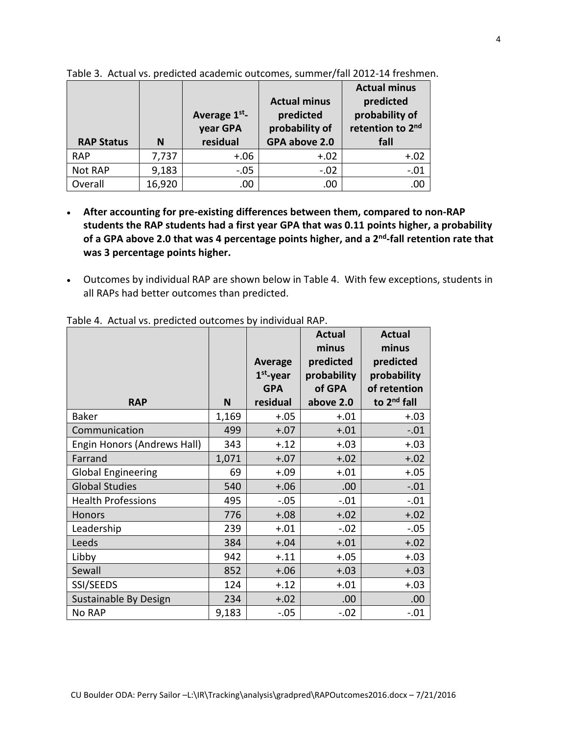|                   |        | Average 1st <sub>-</sub><br>year GPA | <b>Actual minus</b><br>predicted<br>probability of | <b>Actual minus</b><br>predicted<br>probability of<br>retention to 2nd |
|-------------------|--------|--------------------------------------|----------------------------------------------------|------------------------------------------------------------------------|
| <b>RAP Status</b> | N      | residual                             | GPA above 2.0                                      | fall                                                                   |
| <b>RAP</b>        | 7,737  | $+.06$                               | $+.02$                                             | $+.02$                                                                 |
| Not RAP           | 9,183  | $-.05$                               | $-.02$                                             | $-.01$                                                                 |
| Overall           | 16,920 | .00                                  | .00                                                | .00                                                                    |

Table 3. Actual vs. predicted academic outcomes, summer/fall 2012-14 freshmen.

- **After accounting for pre-existing differences between them, compared to non-RAP students the RAP students had a first year GPA that was 0.11 points higher, a probability of a GPA above 2.0 that was 4 percentage points higher, and a 2nd-fall retention rate that was 3 percentage points higher.**
- Outcomes by individual RAP are shown below in Table 4. With few exceptions, students in all RAPs had better outcomes than predicted.

|                             |       | Average<br>$1st$ -year<br><b>GPA</b> | <b>Actual</b><br>minus<br>predicted<br>probability<br>of GPA | <b>Actual</b><br>minus<br>predicted<br>probability<br>of retention |
|-----------------------------|-------|--------------------------------------|--------------------------------------------------------------|--------------------------------------------------------------------|
| <b>RAP</b>                  | N     | residual                             | above 2.0                                                    | to 2 <sup>nd</sup> fall                                            |
| <b>Baker</b>                | 1,169 | $+.05$                               | $+.01$                                                       | $+.03$                                                             |
| Communication               | 499   | $+.07$                               | $+.01$                                                       | $-.01$                                                             |
| Engin Honors (Andrews Hall) | 343   | $+.12$                               | $+.03$                                                       | $+.03$                                                             |
| Farrand                     | 1,071 | $+.07$                               | $+.02$                                                       | $+.02$                                                             |
| <b>Global Engineering</b>   | 69    | $+.09$                               | $+.01$                                                       | $+.05$                                                             |
| <b>Global Studies</b>       | 540   | $+.06$                               | .00                                                          | $-.01$                                                             |
| <b>Health Professions</b>   | 495   | $-.05$                               | $-.01$                                                       | $-.01$                                                             |
| <b>Honors</b>               | 776   | $+.08$                               | $+.02$                                                       | $+.02$                                                             |
| Leadership                  | 239   | $+.01$                               | $-.02$                                                       | $-.05$                                                             |
| Leeds                       | 384   | $+.04$                               | $+.01$                                                       | $+.02$                                                             |
| Libby                       | 942   | $+.11$                               | $+.05$                                                       | $+.03$                                                             |
| Sewall                      | 852   | $+.06$                               | $+.03$                                                       | $+.03$                                                             |
| SSI/SEEDS                   | 124   | $+.12$                               | $+.01$                                                       | $+.03$                                                             |
| Sustainable By Design       | 234   | $+.02$                               | .00                                                          | .00                                                                |
| No RAP                      | 9,183 | $-.05$                               | $-.02$                                                       | $-.01$                                                             |

Table 4. Actual vs. predicted outcomes by individual RAP.